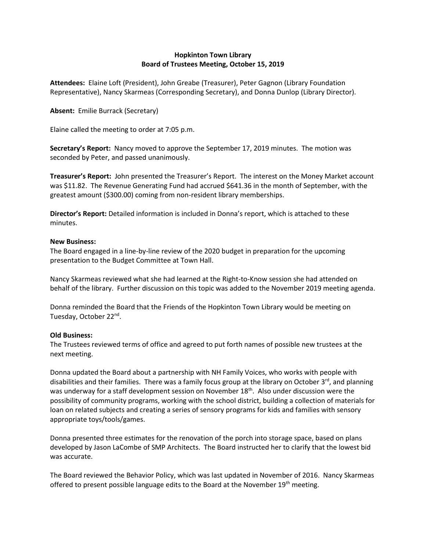## **Hopkinton Town Library Board of Trustees Meeting, October 15, 2019**

**Attendees:** Elaine Loft (President), John Greabe (Treasurer), Peter Gagnon (Library Foundation Representative), Nancy Skarmeas (Corresponding Secretary), and Donna Dunlop (Library Director).

## **Absent:** Emilie Burrack (Secretary)

Elaine called the meeting to order at 7:05 p.m.

**Secretary's Report:** Nancy moved to approve the September 17, 2019 minutes. The motion was seconded by Peter, and passed unanimously.

**Treasurer's Report:** John presented the Treasurer's Report. The interest on the Money Market account was \$11.82. The Revenue Generating Fund had accrued \$641.36 in the month of September, with the greatest amount (\$300.00) coming from non-resident library memberships.

**Director's Report:** Detailed information is included in Donna's report, which is attached to these minutes.

## **New Business:**

The Board engaged in a line-by-line review of the 2020 budget in preparation for the upcoming presentation to the Budget Committee at Town Hall.

Nancy Skarmeas reviewed what she had learned at the Right-to-Know session she had attended on behalf of the library. Further discussion on this topic was added to the November 2019 meeting agenda.

Donna reminded the Board that the Friends of the Hopkinton Town Library would be meeting on Tuesday, October 22<sup>nd</sup>.

## **Old Business:**

The Trustees reviewed terms of office and agreed to put forth names of possible new trustees at the next meeting.

Donna updated the Board about a partnership with NH Family Voices, who works with people with disabilities and their families. There was a family focus group at the library on October 3<sup>rd</sup>, and planning was underway for a staff development session on November 18<sup>th</sup>. Also under discussion were the possibility of community programs, working with the school district, building a collection of materials for loan on related subjects and creating a series of sensory programs for kids and families with sensory appropriate toys/tools/games.

Donna presented three estimates for the renovation of the porch into storage space, based on plans developed by Jason LaCombe of SMP Architects. The Board instructed her to clarify that the lowest bid was accurate.

The Board reviewed the Behavior Policy, which was last updated in November of 2016. Nancy Skarmeas offered to present possible language edits to the Board at the November 19<sup>th</sup> meeting.